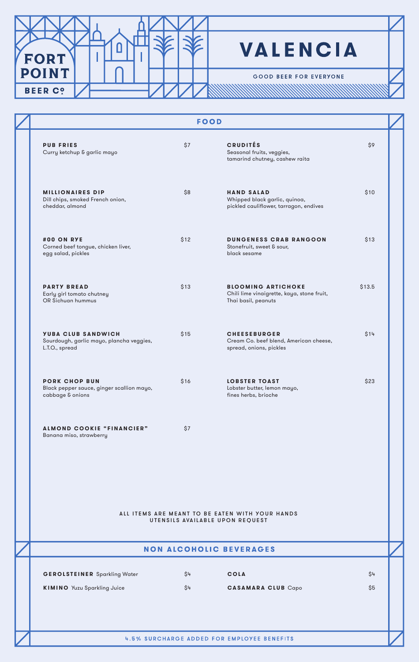

## **VALENCIA**

**GOOD BEER FOR EVERYONE** 

<u> A MANAMAN MANAMAN MANAMAN</u>

|                                                                                         |      | <b>FOOD</b>                                                                                    |        |
|-----------------------------------------------------------------------------------------|------|------------------------------------------------------------------------------------------------|--------|
| <b>PUB FRIES</b><br>Curry ketchup & garlic mayo                                         | \$7  | <b>CRUDITÉS</b><br>Seasonal fruits, veggies,<br>tamarind chutney, cashew raita                 | \$9    |
| <b>MILLIONAIRES DIP</b><br>Dill chips, smoked French onion,<br>cheddar, almond          | \$8  | <b>HAND SALAD</b><br>Whipped black garlic, quinoa,<br>pickled cauliflower, tarragon, endives   | \$10   |
| #00 ON RYE<br>Corned beef tongue, chicken liver,<br>egg salad, pickles                  | \$12 | <b>DUNGENESS CRAB RANGOON</b><br>Stonefruit, sweet & sour,<br>black sesame                     | \$13   |
| <b>PARTY BREAD</b><br>Early girl tomato chutney<br>OR Sichuan hummus                    | \$13 | <b>BLOOMING ARTICHOKE</b><br>Chili lime vinaigrette, kaya, stone fruit,<br>Thai basil, peanuts | \$13.5 |
| <b>YUBA CLUB SANDWICH</b><br>Sourdough, garlic mayo, plancha veggies,<br>L.T.O., spread | \$15 | <b>CHEESEBURGER</b><br>Cream Co. beef blend, American cheese,<br>spread, onions, pickles       | \$14   |
| <b>PORK CHOP BUN</b><br>Black pepper sauce, ginger scallion mayo,<br>cabbage & onions   | \$16 | <b>LOBSTER TOAST</b><br>Lobster butter, lemon mayo,<br>fines herbs, brioche                    | \$23   |
| <b>ALMOND COOKIE "FINANCIER"</b><br>Banana miso, strawberry                             | \$7  |                                                                                                |        |
|                                                                                         |      | ALL ITEMS ARE MEANT TO BE EATEN WITH YOUR HANDS<br>UTENSILS AVAILABLE UPON REQUEST             |        |
|                                                                                         |      | <b>NON ALCOHOLIC BEVERAGES</b>                                                                 |        |
|                                                                                         |      |                                                                                                |        |
| <b>GEROLSTEINER</b> Sparkling Water                                                     | \$4  | <b>COLA</b>                                                                                    | \$4    |

|                                                                           |            | <b>NON ALCOHOLIC BEVERAGES</b>             |            |  |
|---------------------------------------------------------------------------|------------|--------------------------------------------|------------|--|
| <b>GEROLSTEINER</b> Sparkling Water<br><b>KIMINO</b> Yuzu Sparkling Juice | \$4<br>\$4 | <b>COLA</b><br>CASAMARA CLUB Capo          | \$4<br>\$5 |  |
|                                                                           |            |                                            |            |  |
|                                                                           |            | 4.5% SURCHARGE ADDED FOR EMPLOYEE BENEFITS |            |  |